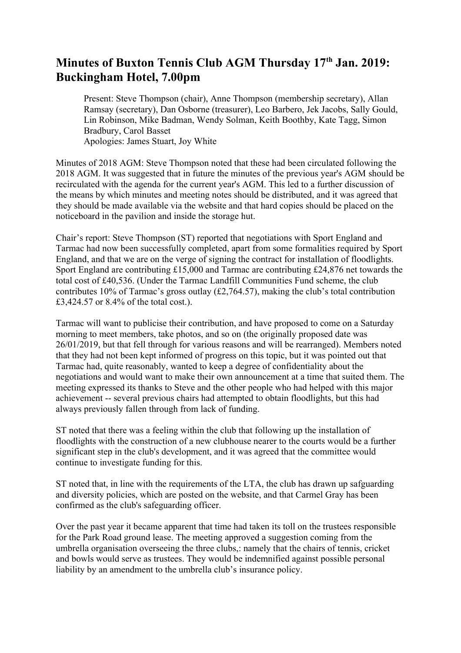## Minutes of Buxton Tennis Club AGM Thursday 17<sup>th</sup> Jan. 2019: **Buckingham Hotel, 7.00pm**

Present: Steve Thompson (chair), Anne Thompson (membership secretary), Allan Ramsay (secretary), Dan Osborne (treasurer), Leo Barbero, Jek Jacobs, Sally Gould, Lin Robinson, Mike Badman, Wendy Solman, Keith Boothby, Kate Tagg, Simon Bradbury, Carol Basset Apologies: James Stuart, Joy White

Minutes of 2018 AGM: Steve Thompson noted that these had been circulated following the 2018 AGM. It was suggested that in future the minutes of the previous year's AGM should be recirculated with the agenda for the current year's AGM. This led to a further discussion of the means by which minutes and meeting notes should be distributed, and it was agreed that they should be made available via the website and that hard copies should be placed on the noticeboard in the pavilion and inside the storage hut.

Chair's report: Steve Thompson (ST) reported that negotiations with Sport England and Tarmac had now been successfully completed, apart from some formalities required by Sport England, and that we are on the verge of signing the contract for installation of floodlights. Sport England are contributing £15,000 and Tarmac are contributing £24,876 net towards the total cost of £40,536. (Under the Tarmac Landfill Communities Fund scheme, the club contributes 10% of Tarmac's gross outlay (£2,764.57), making the club's total contribution £3,424.57 or 8.4% of the total cost.).

Tarmac will want to publicise their contribution, and have proposed to come on a Saturday morning to meet members, take photos, and so on (the originally proposed date was 26/01/2019, but that fell through for various reasons and will be rearranged). Members noted that they had not been kept informed of progress on this topic, but it was pointed out that Tarmac had, quite reasonably, wanted to keep a degree of confidentiality about the negotiations and would want to make their own announcement at a time that suited them. The meeting expressed its thanks to Steve and the other people who had helped with this major achievement -- several previous chairs had attempted to obtain floodlights, but this had always previously fallen through from lack of funding.

ST noted that there was a feeling within the club that following up the installation of floodlights with the construction of a new clubhouse nearer to the courts would be a further significant step in the club's development, and it was agreed that the committee would continue to investigate funding for this.

ST noted that, in line with the requirements of the LTA, the club has drawn up safguarding and diversity policies, which are posted on the website, and that Carmel Gray has been confirmed as the club's safeguarding officer.

Over the past year it became apparent that time had taken its toll on the trustees responsible for the Park Road ground lease. The meeting approved a suggestion coming from the umbrella organisation overseeing the three clubs,: namely that the chairs of tennis, cricket and bowls would serve as trustees. They would be indemnified against possible personal liability by an amendment to the umbrella club's insurance policy.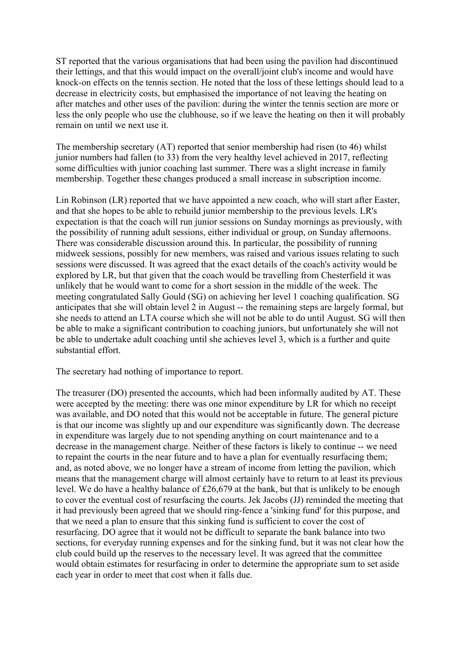ST reported that the various organisations that had been using the pavilion had discontinued their lettings, and that this would impact on the overall/joint club's income and would have knock-on effects on the tennis section. He noted that the loss of these lettings should lead to a decrease in electricity costs, but emphasised the importance of not leaving the heating on after matches and other uses of the pavilion: during the winter the tennis section are more or less the only people who use the clubhouse, so if we leave the heating on then it will probably remain on until we next use it.

The membership secretary (AT) reported that senior membership had risen (to 46) whilst junior numbers had fallen (to 33) from the very healthy level achieved in 2017, reflecting some difficulties with junior coaching last summer. There was a slight increase in family membership. Together these changes produced a small increase in subscription income.

Lin Robinson (LR) reported that we have appointed a new coach, who will start after Easter, and that she hopes to be able to rebuild junior membership to the previous levels. LR's expectation is that the coach will run junior sessions on Sunday mornings as previously, with the possibility of running adult sessions, either individual or group, on Sunday afternoons. There was considerable discussion around this. In particular, the possibility of running midweek sessions, possibly for new members, was raised and various issues relating to such sessions were discussed. It was agreed that the exact details of the coach's activity would be explored by LR, but that given that the coach would be travelling from Chesterfield it was unlikely that he would want to come for a short session in the middle of the week. The meeting congratulated Sally Gould (SG) on achieving her level 1 coaching qualification. SG anticipates that she will obtain level 2 in August -- the remaining steps are largely formal, but she needs to attend an LTA course which she will not be able to do until August. SG will then be able to make a significant contribution to coaching juniors, but unfortunately she will not be able to undertake adult coaching until she achieves level 3, which is a further and quite substantial effort.

The secretary had nothing of importance to report.

The treasurer (DO) presented the accounts, which had been informally audited by AT. These were accepted by the meeting: there was one minor expenditure by LR for which no receipt was available, and DO noted that this would not be acceptable in future. The general picture is that our income was slightly up and our expenditure was significantly down. The decrease in expenditure was largely due to not spending anything on court maintenance and to a decrease in the management charge. Neither of these factors is likely to continue -- we need to repaint the courts in the near future and to have a plan for eventually resurfacing them; and, as noted above, we no longer have a stream of income from letting the pavilion, which means that the management charge will almost certainly have to return to at least its previous level. We do have a healthy balance of £26,679 at the bank, but that is unlikely to be enough to cover the eventual cost of resurfacing the courts. Jek Jacobs (JJ) reminded the meeting that it had previously been agreed that we should ring-fence a 'sinking fund' for this purpose, and that we need a plan to ensure that this sinking fund is sufficient to cover the cost of resurfacing. DO agree that it would not be difficult to separate the bank balance into two sections, for everyday running expenses and for the sinking fund, but it was not clear how the club could build up the reserves to the necessary level. It was agreed that the committee would obtain estimates for resurfacing in order to determine the appropriate sum to set aside each year in order to meet that cost when it falls due.